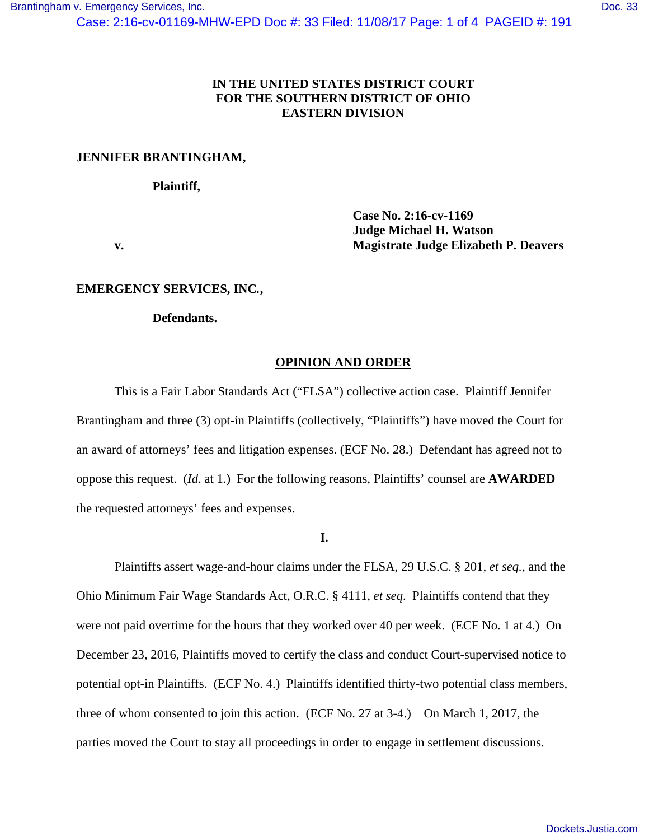# **IN THE UNITED STATES DISTRICT COURT FOR THE SOUTHERN DISTRICT OF OHIO EASTERN DIVISION**

# **JENNIFER BRANTINGHAM,**

### **Plaintiff,**

 **Case No. 2:16-cv-1169 Judge Michael H. Watson v. Magistrate Judge Elizabeth P. Deavers** 

## **EMERGENCY SERVICES, INC***.***,**

## **Defendants.**

# **OPINION AND ORDER**

 This is a Fair Labor Standards Act ("FLSA") collective action case. Plaintiff Jennifer Brantingham and three (3) opt-in Plaintiffs (collectively, "Plaintiffs") have moved the Court for an award of attorneys' fees and litigation expenses. (ECF No. 28.) Defendant has agreed not to oppose this request. (*Id*. at 1.) For the following reasons, Plaintiffs' counsel are **AWARDED** the requested attorneys' fees and expenses.

# **I.**

 Plaintiffs assert wage-and-hour claims under the FLSA, 29 U.S.C. § 201, *et seq.*, and the Ohio Minimum Fair Wage Standards Act, O.R.C. § 4111, *et seq*. Plaintiffs contend that they were not paid overtime for the hours that they worked over 40 per week. (ECF No. 1 at 4.) On December 23, 2016, Plaintiffs moved to certify the class and conduct Court-supervised notice to potential opt-in Plaintiffs. (ECF No. 4.) Plaintiffs identified thirty-two potential class members, three of whom consented to join this action. (ECF No. 27 at 3-4.) On March 1, 2017, the parties moved the Court to stay all proceedings in order to engage in settlement discussions.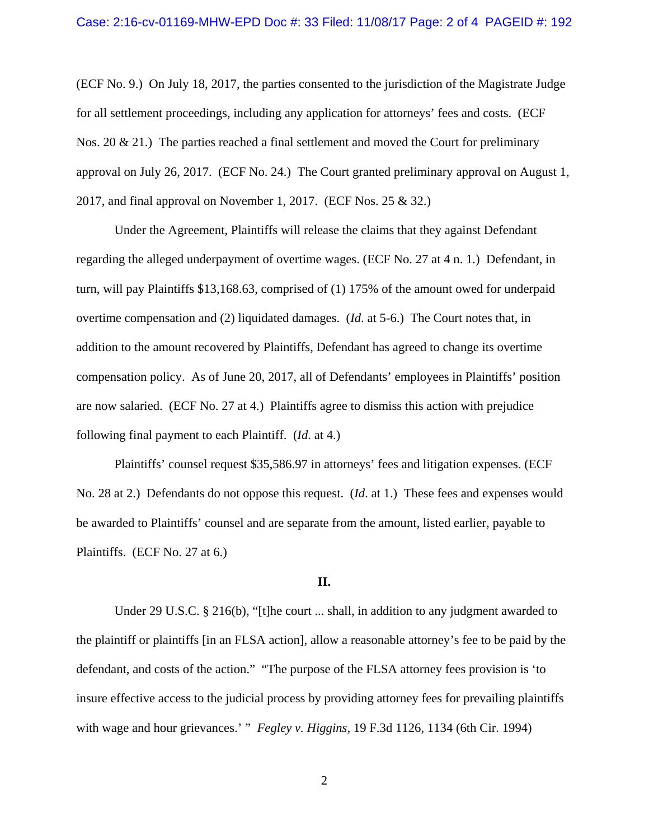(ECF No. 9.) On July 18, 2017, the parties consented to the jurisdiction of the Magistrate Judge for all settlement proceedings, including any application for attorneys' fees and costs. (ECF Nos. 20 & 21.) The parties reached a final settlement and moved the Court for preliminary approval on July 26, 2017. (ECF No. 24.) The Court granted preliminary approval on August 1, 2017, and final approval on November 1, 2017. (ECF Nos. 25 & 32.)

 Under the Agreement, Plaintiffs will release the claims that they against Defendant regarding the alleged underpayment of overtime wages. (ECF No. 27 at 4 n. 1.) Defendant, in turn, will pay Plaintiffs \$13,168.63, comprised of (1) 175% of the amount owed for underpaid overtime compensation and (2) liquidated damages. (*Id*. at 5-6.) The Court notes that, in addition to the amount recovered by Plaintiffs, Defendant has agreed to change its overtime compensation policy. As of June 20, 2017, all of Defendants' employees in Plaintiffs' position are now salaried. (ECF No. 27 at 4.) Plaintiffs agree to dismiss this action with prejudice following final payment to each Plaintiff. (*Id*. at 4.)

 Plaintiffs' counsel request \$35,586.97 in attorneys' fees and litigation expenses. (ECF No. 28 at 2.) Defendants do not oppose this request. (*Id*. at 1.) These fees and expenses would be awarded to Plaintiffs' counsel and are separate from the amount, listed earlier, payable to Plaintiffs. (ECF No. 27 at 6.)

#### **II.**

Under 29 U.S.C. § 216(b), "[t]he court ... shall, in addition to any judgment awarded to the plaintiff or plaintiffs [in an FLSA action], allow a reasonable attorney's fee to be paid by the defendant, and costs of the action." "The purpose of the FLSA attorney fees provision is 'to insure effective access to the judicial process by providing attorney fees for prevailing plaintiffs with wage and hour grievances.' " *Fegley v. Higgins*, 19 F.3d 1126, 1134 (6th Cir. 1994)

2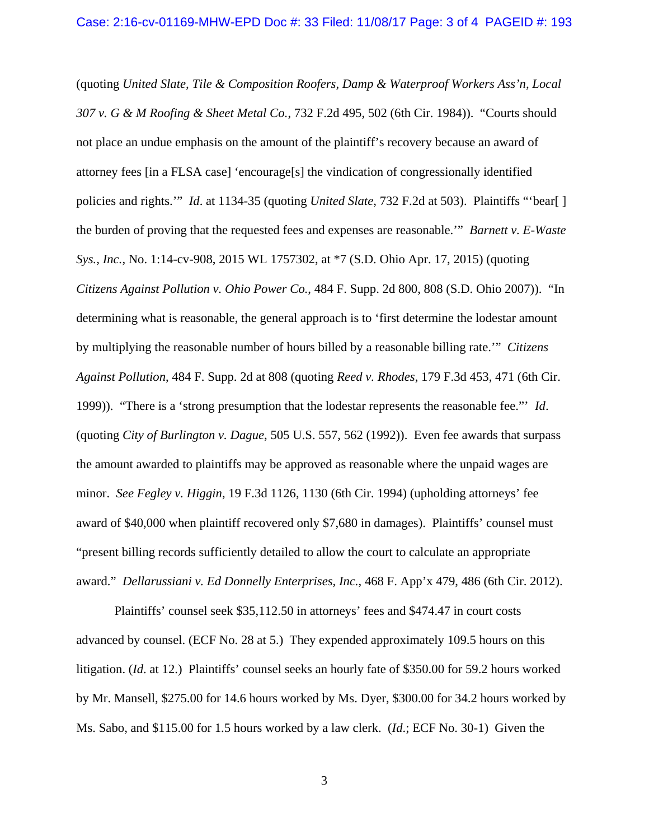(quoting *United Slate, Tile & Composition Roofers, Damp & Waterproof Workers Ass'n, Local 307 v. G & M Roofing & Sheet Metal Co.*, 732 F.2d 495, 502 (6th Cir. 1984)). "Courts should not place an undue emphasis on the amount of the plaintiff's recovery because an award of attorney fees [in a FLSA case] 'encourage[s] the vindication of congressionally identified policies and rights.'" *Id*. at 1134-35 (quoting *United Slate*, 732 F.2d at 503). Plaintiffs "'bear[ ] the burden of proving that the requested fees and expenses are reasonable.'" *Barnett v. E-Waste Sys., Inc.*, No. 1:14-cv-908, 2015 WL 1757302, at \*7 (S.D. Ohio Apr. 17, 2015) (quoting *Citizens Against Pollution v. Ohio Power Co.*, 484 F. Supp. 2d 800, 808 (S.D. Ohio 2007)). "In determining what is reasonable, the general approach is to 'first determine the lodestar amount by multiplying the reasonable number of hours billed by a reasonable billing rate.'" *Citizens Against Pollution*, 484 F. Supp. 2d at 808 (quoting *Reed v. Rhodes*, 179 F.3d 453, 471 (6th Cir. 1999)). "There is a 'strong presumption that the lodestar represents the reasonable fee."' *Id*. (quoting *City of Burlington v. Dague*, 505 U.S. 557, 562 (1992)). Even fee awards that surpass the amount awarded to plaintiffs may be approved as reasonable where the unpaid wages are minor. *See Fegley v. Higgin*, 19 F.3d 1126, 1130 (6th Cir. 1994) (upholding attorneys' fee award of \$40,000 when plaintiff recovered only \$7,680 in damages). Plaintiffs' counsel must "present billing records sufficiently detailed to allow the court to calculate an appropriate award." *Dellarussiani v. Ed Donnelly Enterprises, Inc.*, 468 F. App'x 479, 486 (6th Cir. 2012).

 Plaintiffs' counsel seek \$35,112.50 in attorneys' fees and \$474.47 in court costs advanced by counsel. (ECF No. 28 at 5.) They expended approximately 109.5 hours on this litigation. (*Id*. at 12.) Plaintiffs' counsel seeks an hourly fate of \$350.00 for 59.2 hours worked by Mr. Mansell, \$275.00 for 14.6 hours worked by Ms. Dyer, \$300.00 for 34.2 hours worked by Ms. Sabo, and \$115.00 for 1.5 hours worked by a law clerk. (*Id*.; ECF No. 30-1) Given the